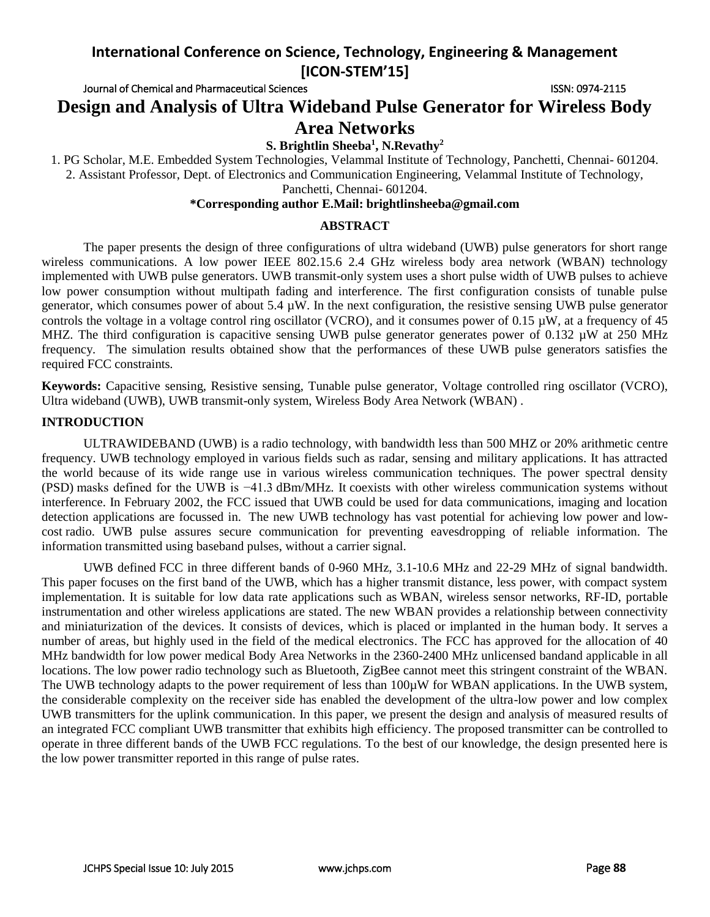Journal of Chemical and Pharmaceutical Sciences **ISSN: 0974-2115** ISSN: 0974-2115

**Design and Analysis of Ultra Wideband Pulse Generator for Wireless Body Area Networks**

## **S. Brightlin Sheeba<sup>1</sup> , N.Revathy<sup>2</sup>**

1. PG Scholar, M.E. Embedded System Technologies, Velammal Institute of Technology, Panchetti, Chennai- 601204. 2. Assistant Professor, Dept. of Electronics and Communication Engineering, Velammal Institute of Technology,

Panchetti, Chennai- 601204.

## **\*Corresponding author E.Mail: brightlinsheeba@gmail.com**

#### **ABSTRACT**

The paper presents the design of three configurations of ultra wideband (UWB) pulse generators for short range wireless communications. A low power IEEE 802.15.6 2.4 GHz wireless body area network (WBAN) technology implemented with UWB pulse generators. UWB transmit-only system uses a short pulse width of UWB pulses to achieve low power consumption without multipath fading and interference. The first configuration consists of tunable pulse generator, which consumes power of about 5.4 µW. In the next configuration, the resistive sensing UWB pulse generator controls the voltage in a voltage control ring oscillator (VCRO), and it consumes power of 0.15 µW, at a frequency of 45 MHZ. The third configuration is capacitive sensing UWB pulse generator generates power of 0.132 µW at 250 MHz frequency*.* The simulation results obtained show that the performances of these UWB pulse generators satisfies the required FCC constraints*.*

**Keywords:** Capacitive sensing, Resistive sensing, Tunable pulse generator, Voltage controlled ring oscillator (VCRO), Ultra wideband (UWB), UWB transmit-only system, Wireless Body Area Network (WBAN) .

#### **INTRODUCTION**

ULTRAWIDEBAND (UWB) is a radio technology, with bandwidth less than 500 MHZ or 20% arithmetic centre frequency. UWB technology employed in various fields such as radar, sensing and military applications. It has attracted the world because of its wide range use in various wireless communication techniques. The power spectral density (PSD) masks defined for the UWB is −41.3 dBm/MHz. It coexists with other wireless communication systems without interference. In February 2002, the FCC issued that UWB could be used for data communications, imaging and location detection applications are focussed in. The new UWB technology has vast potential for achieving low power and lowcost radio. UWB pulse assures secure communication for preventing eavesdropping of reliable information. The information transmitted using baseband pulses, without a carrier signal.

UWB defined FCC in three different bands of 0-960 MHz, 3.1-10.6 MHz and 22-29 MHz of signal bandwidth. This paper focuses on the first band of the UWB, which has a higher transmit distance, less power, with compact system implementation. It is suitable for low data rate applications such as WBAN, wireless sensor networks, RF-ID, portable instrumentation and other wireless applications are stated. The new WBAN provides a relationship between connectivity and miniaturization of the devices. It consists of devices, which is placed or implanted in the human body. It serves a number of areas, but highly used in the field of the medical electronics. The FCC has approved for the allocation of 40 MHz bandwidth for low power medical Body Area Networks in the 2360-2400 MHz unlicensed bandand applicable in all locations. The low power radio technology such as Bluetooth, ZigBee cannot meet this stringent constraint of the WBAN. The UWB technology adapts to the power requirement of less than 100µW for WBAN applications. In the UWB system, the considerable complexity on the receiver side has enabled the development of the ultra-low power and low complex UWB transmitters for the uplink communication. In this paper, we present the design and analysis of measured results of an integrated FCC compliant UWB transmitter that exhibits high efficiency. The proposed transmitter can be controlled to operate in three different bands of the UWB FCC regulations. To the best of our knowledge, the design presented here is the low power transmitter reported in this range of pulse rates.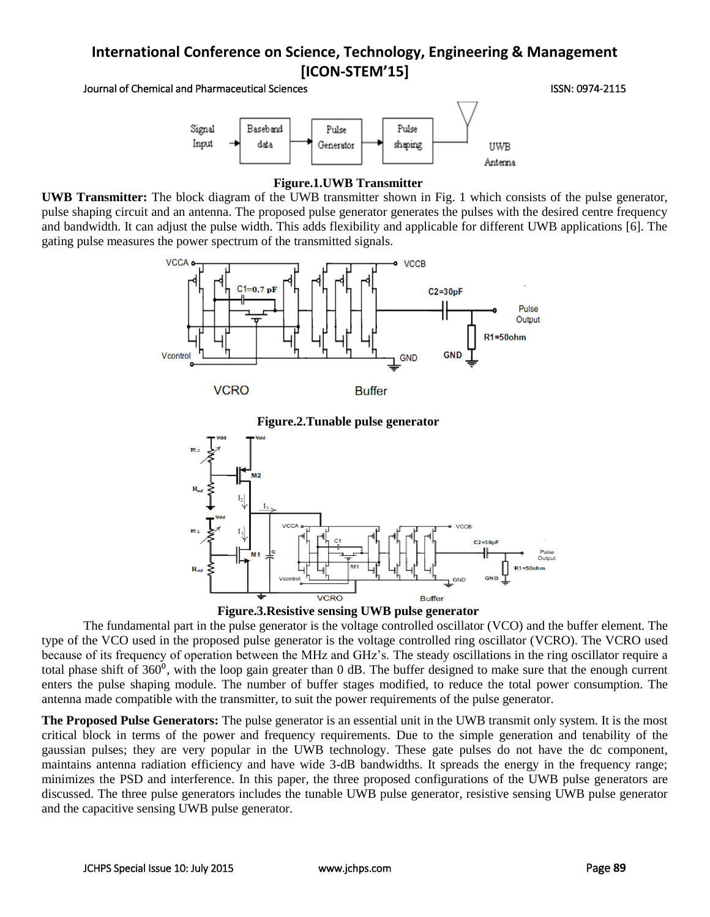Journal of Chemical and Pharmaceutical Sciences ISSN: 0974-2115



#### **Figure.1.UWB Transmitter**

**UWB Transmitter:** The block diagram of the UWB transmitter shown in Fig. 1 which consists of the pulse generator, pulse shaping circuit and an antenna. The proposed pulse generator generates the pulses with the desired centre frequency and bandwidth. It can adjust the pulse width. This adds flexibility and applicable for different UWB applications [6]. The gating pulse measures the power spectrum of the transmitted signals.







The fundamental part in the pulse generator is the voltage controlled oscillator (VCO) and the buffer element. The type of the VCO used in the proposed pulse generator is the voltage controlled ring oscillator (VCRO). The VCRO used because of its frequency of operation between the MHz and GHz's. The steady oscillations in the ring oscillator require a total phase shift of  $360^{\circ}$ , with the loop gain greater than 0 dB. The buffer designed to make sure that the enough current enters the pulse shaping module. The number of buffer stages modified, to reduce the total power consumption. The antenna made compatible with the transmitter, to suit the power requirements of the pulse generator.

**The Proposed Pulse Generators:** The pulse generator is an essential unit in the UWB transmit only system. It is the most critical block in terms of the power and frequency requirements. Due to the simple generation and tenability of the gaussian pulses; they are very popular in the UWB technology. These gate pulses do not have the dc component, maintains antenna radiation efficiency and have wide 3-dB bandwidths. It spreads the energy in the frequency range; minimizes the PSD and interference. In this paper, the three proposed configurations of the UWB pulse generators are discussed. The three pulse generators includes the tunable UWB pulse generator, resistive sensing UWB pulse generator and the capacitive sensing UWB pulse generator.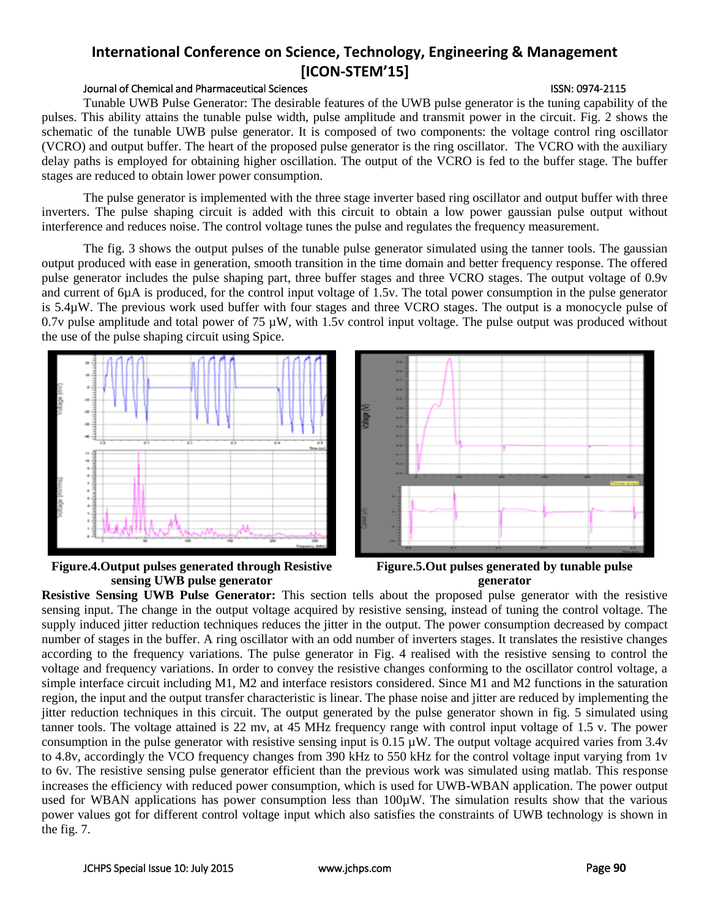## Journal of Chemical and Pharmaceutical Sciences ISSN: 0974-2115

Tunable UWB Pulse Generator: The desirable features of the UWB pulse generator is the tuning capability of the pulses. This ability attains the tunable pulse width, pulse amplitude and transmit power in the circuit. Fig. 2 shows the schematic of the tunable UWB pulse generator. It is composed of two components: the voltage control ring oscillator (VCRO) and output buffer. The heart of the proposed pulse generator is the ring oscillator. The VCRO with the auxiliary delay paths is employed for obtaining higher oscillation. The output of the VCRO is fed to the buffer stage. The buffer stages are reduced to obtain lower power consumption.

The pulse generator is implemented with the three stage inverter based ring oscillator and output buffer with three inverters. The pulse shaping circuit is added with this circuit to obtain a low power gaussian pulse output without interference and reduces noise. The control voltage tunes the pulse and regulates the frequency measurement.

The fig. 3 shows the output pulses of the tunable pulse generator simulated using the tanner tools. The gaussian output produced with ease in generation, smooth transition in the time domain and better frequency response. The offered pulse generator includes the pulse shaping part, three buffer stages and three VCRO stages. The output voltage of 0.9v and current of 6µA is produced, for the control input voltage of 1.5v. The total power consumption in the pulse generator is 5.4µW. The previous work used buffer with four stages and three VCRO stages. The output is a monocycle pulse of 0.7v pulse amplitude and total power of 75  $\mu$ W, with 1.5v control input voltage. The pulse output was produced without the use of the pulse shaping circuit using Spice.









**Resistive Sensing UWB Pulse Generator:** This section tells about the proposed pulse generator with the resistive sensing input. The change in the output voltage acquired by resistive sensing, instead of tuning the control voltage. The supply induced jitter reduction techniques reduces the jitter in the output. The power consumption decreased by compact number of stages in the buffer. A ring oscillator with an odd number of inverters stages. It translates the resistive changes according to the frequency variations. The pulse generator in Fig. 4 realised with the resistive sensing to control the voltage and frequency variations. In order to convey the resistive changes conforming to the oscillator control voltage, a simple interface circuit including M1, M2 and interface resistors considered. Since M1 and M2 functions in the saturation region, the input and the output transfer characteristic is linear. The phase noise and jitter are reduced by implementing the jitter reduction techniques in this circuit. The output generated by the pulse generator shown in fig. 5 simulated using tanner tools. The voltage attained is 22 mv, at 45 MHz frequency range with control input voltage of 1.5 v. The power consumption in the pulse generator with resistive sensing input is  $0.15 \mu W$ . The output voltage acquired varies from 3.4v to 4.8v, accordingly the VCO frequency changes from 390 kHz to 550 kHz for the control voltage input varying from 1v to 6v. The resistive sensing pulse generator efficient than the previous work was simulated using matlab. This response increases the efficiency with reduced power consumption, which is used for UWB-WBAN application. The power output used for WBAN applications has power consumption less than 100µW. The simulation results show that the various power values got for different control voltage input which also satisfies the constraints of UWB technology is shown in the fig. 7.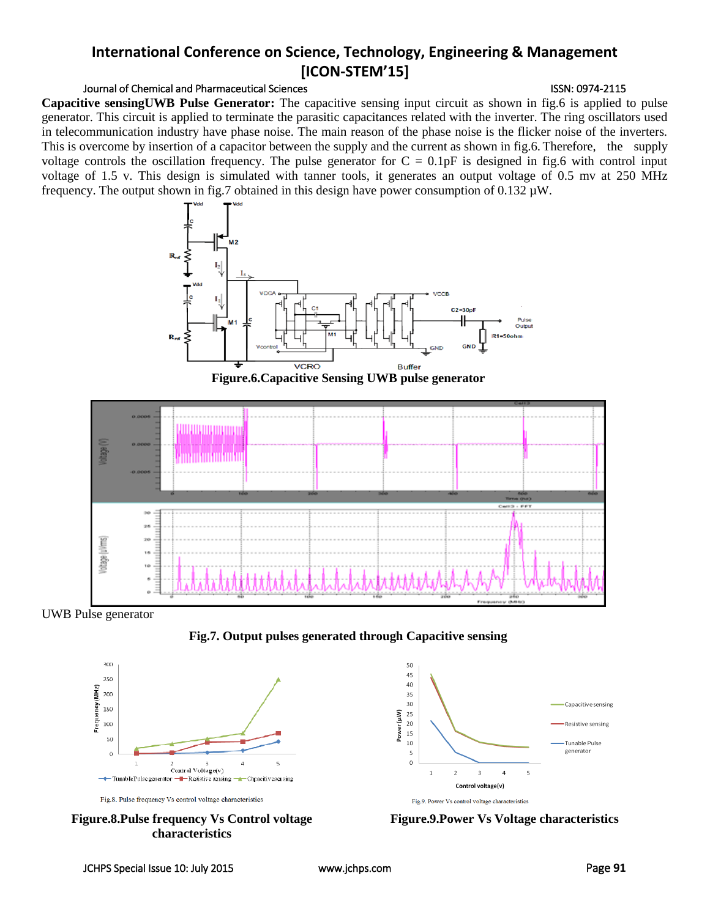## Journal of Chemical and Pharmaceutical Sciences **ISSN: 0974-2115** ISSN: 0974-2115

**Capacitive sensingUWB Pulse Generator:** The capacitive sensing input circuit as shown in fig.6 is applied to pulse generator. This circuit is applied to terminate the parasitic capacitances related with the inverter. The ring oscillators used in telecommunication industry have phase noise. The main reason of the phase noise is the flicker noise of the inverters. This is overcome by insertion of a capacitor between the supply and the current as shown in fig.6. Therefore, the supply voltage controls the oscillation frequency. The pulse generator for  $C = 0.1pF$  is designed in fig.6 with control input voltage of 1.5 v. This design is simulated with tanner tools, it generates an output voltage of 0.5 mv at 250 MHz frequency. The output shown in fig.7 obtained in this design have power consumption of 0.132 µW.







UWB Pulse generator









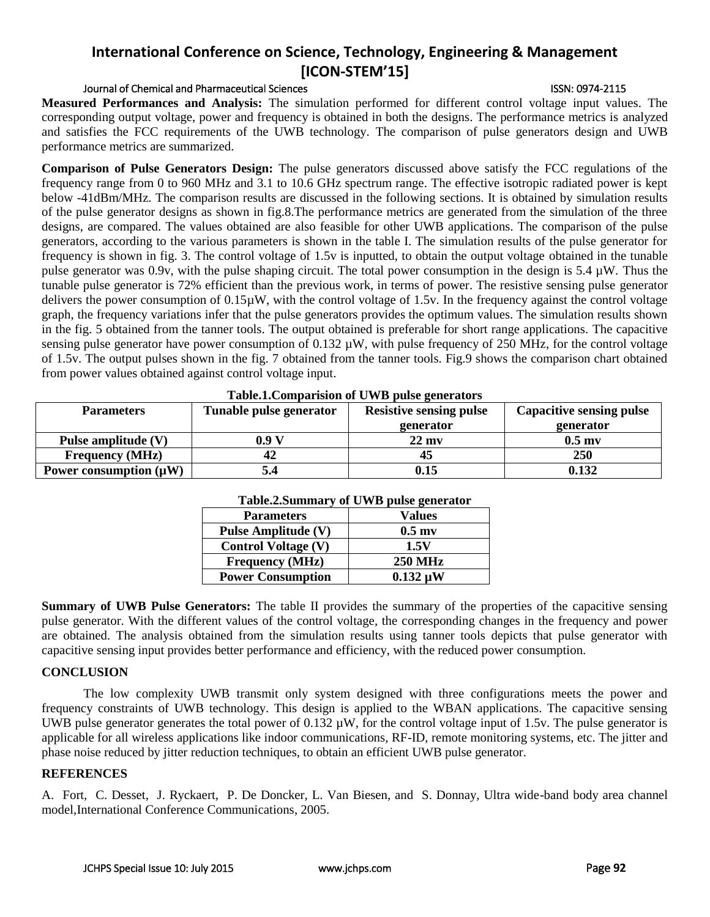### Journal of Chemical and Pharmaceutical Sciences ISSN: 0974-2115

**Measured Performances and Analysis:** The simulation performed for different control voltage input values. The corresponding output voltage, power and frequency is obtained in both the designs. The performance metrics is analyzed and satisfies the FCC requirements of the UWB technology. The comparison of pulse generators design and UWB performance metrics are summarized.

**Comparison of Pulse Generators Design:** The pulse generators discussed above satisfy the FCC regulations of the frequency range from 0 to 960 MHz and 3.1 to 10.6 GHz spectrum range. The effective isotropic radiated power is kept below -41dBm/MHz. The comparison results are discussed in the following sections. It is obtained by simulation results of the pulse generator designs as shown in fig.8.The performance metrics are generated from the simulation of the three designs, are compared. The values obtained are also feasible for other UWB applications. The comparison of the pulse generators, according to the various parameters is shown in the table I. The simulation results of the pulse generator for frequency is shown in fig. 3. The control voltage of 1.5v is inputted, to obtain the output voltage obtained in the tunable pulse generator was 0.9v, with the pulse shaping circuit. The total power consumption in the design is 5.4 µW. Thus the tunable pulse generator is 72% efficient than the previous work, in terms of power. The resistive sensing pulse generator delivers the power consumption of 0.15µW, with the control voltage of 1.5v. In the frequency against the control voltage graph, the frequency variations infer that the pulse generators provides the optimum values. The simulation results shown in the fig. 5 obtained from the tanner tools. The output obtained is preferable for short range applications. The capacitive sensing pulse generator have power consumption of 0.132  $\mu$ W, with pulse frequency of 250 MHz, for the control voltage of 1.5v. The output pulses shown in the fig. 7 obtained from the tanner tools. Fig.9 shows the comparison chart obtained from power values obtained against control voltage input.

| <b>Table.I.Comparision of U WD pulse generators</b> |                         |                                |                                 |
|-----------------------------------------------------|-------------------------|--------------------------------|---------------------------------|
| <b>Parameters</b>                                   | Tunable pulse generator | <b>Resistive sensing pulse</b> | <b>Capacitive sensing pulse</b> |
|                                                     |                         | generator                      | generator                       |
| Pulse amplitude (V)                                 | 0.9 V                   | $22$ my                        | $0.5 \text{ m}$                 |
| <b>Frequency</b> (MHz)                              | 42                      | 45                             | 250                             |
| Power consumption $(\mu W)$                         |                         | 0.15                           | 0.132                           |

## **Table.1.Comparision of UWB pulse generators**

| <b>Table.2.Summary of UWB pulse generator</b> |                 |  |
|-----------------------------------------------|-----------------|--|
| <b>Parameters</b>                             | <b>Values</b>   |  |
| <b>Pulse Amplitude (V)</b>                    | $0.5 \text{ m}$ |  |
| <b>Control Voltage (V)</b>                    | 1.5V            |  |
| <b>Frequency</b> (MHz)                        | <b>250 MHz</b>  |  |
| <b>Power Consumption</b>                      | $0.132 \mu W$   |  |

### **Table.2.Summary of UWB pulse generator**

**Summary of UWB Pulse Generators:** The table II provides the summary of the properties of the capacitive sensing pulse generator. With the different values of the control voltage, the corresponding changes in the frequency and power are obtained. The analysis obtained from the simulation results using tanner tools depicts that pulse generator with capacitive sensing input provides better performance and efficiency, with the reduced power consumption.

## **CONCLUSION**

The low complexity UWB transmit only system designed with three configurations meets the power and frequency constraints of UWB technology. This design is applied to the WBAN applications. The capacitive sensing UWB pulse generator generates the total power of  $0.132 \mu$ W, for the control voltage input of 1.5v. The pulse generator is applicable for all wireless applications like indoor communications, RF-ID, remote monitoring systems, etc. The jitter and phase noise reduced by jitter reduction techniques, to obtain an efficient UWB pulse generator.

## **REFERENCES**

A. Fort, C. Desset, J. Ryckaert, P. De Doncker, L. Van Biesen, and S. Donnay, Ultra wide-band body area channel model,International Conference Communications, 2005.